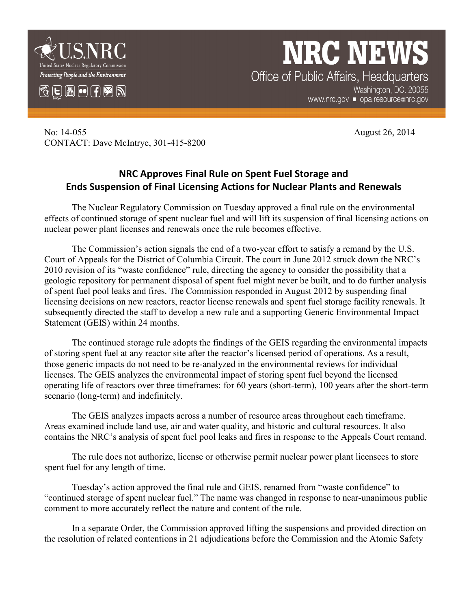



**NRC NEWS** Office of Public Affairs, Headquarters Washington, DC. 20055 www.nrc.gov ■ opa.resource@nrc.gov

No: 14-055 August 26, 2014 CONTACT: Dave McIntrye, 301-415-8200

## **NRC Approves Final Rule on Spent Fuel Storage and Ends Suspension of Final Licensing Actions for Nuclear Plants and Renewals**

The Nuclear Regulatory Commission on Tuesday approved a final rule on the environmental effects of continued storage of spent nuclear fuel and will lift its suspension of final licensing actions on nuclear power plant licenses and renewals once the rule becomes effective.

The Commission's action signals the end of a two-year effort to satisfy a remand by the U.S. Court of Appeals for the District of Columbia Circuit. The court in June 2012 struck down the NRC's 2010 revision of its "waste confidence" rule, directing the agency to consider the possibility that a geologic repository for permanent disposal of spent fuel might never be built, and to do further analysis of spent fuel pool leaks and fires. The Commission responded in August 2012 by suspending final licensing decisions on new reactors, reactor license renewals and spent fuel storage facility renewals. It subsequently directed the staff to develop a new rule and a supporting Generic Environmental Impact Statement (GEIS) within 24 months.

The continued storage rule adopts the findings of the GEIS regarding the environmental impacts of storing spent fuel at any reactor site after the reactor's licensed period of operations. As a result, those generic impacts do not need to be re-analyzed in the environmental reviews for individual licenses. The GEIS analyzes the environmental impact of storing spent fuel beyond the licensed operating life of reactors over three timeframes: for 60 years (short-term), 100 years after the short-term scenario (long-term) and indefinitely.

The GEIS analyzes impacts across a number of resource areas throughout each timeframe. Areas examined include land use, air and water quality, and historic and cultural resources. It also contains the NRC's analysis of spent fuel pool leaks and fires in response to the Appeals Court remand.

The rule does not authorize, license or otherwise permit nuclear power plant licensees to store spent fuel for any length of time.

Tuesday's action approved the final rule and GEIS, renamed from "waste confidence" to "continued storage of spent nuclear fuel." The name was changed in response to near-unanimous public comment to more accurately reflect the nature and content of the rule.

In a separate Order, the Commission approved lifting the suspensions and provided direction on the resolution of related contentions in 21 adjudications before the Commission and the Atomic Safety